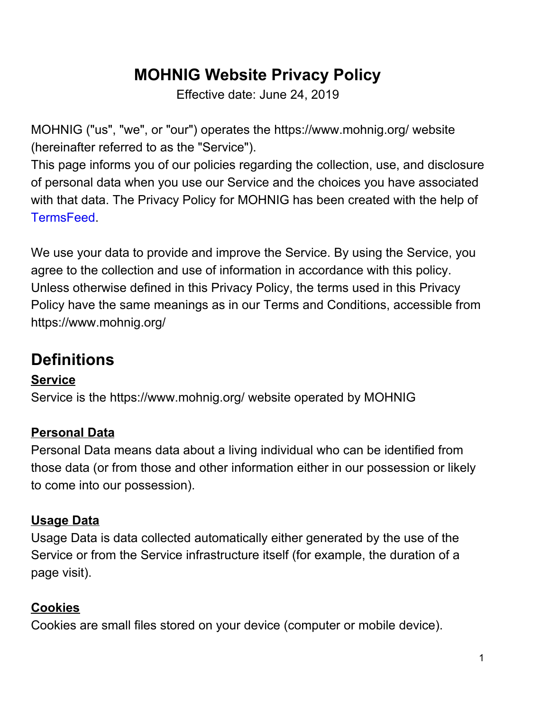## **MOHNIG Website Privacy Policy**

Effective date: June 24, 2019

MOHNIG ("us", "we", or "our") operates the https://www.mohnig.org/ website (hereinafter referred to as the "Service").

This page informs you of our policies regarding the collection, use, and disclosure of personal data when you use our Service and the choices you have associated with that data. The Privacy Policy for MOHNIG has been created with the help of TermsFeed.

We use your data to provide and improve the Service. By using the Service, you agree to the collection and use of information in accordance with this policy. Unless otherwise defined in this Privacy Policy, the terms used in this Privacy Policy have the same meanings as in our Terms and Conditions, accessible from https://www.mohnig.org/

## **Definitions**

### **Service**

Service is the https://www.mohnig.org/ website operated by MOHNIG

### **Personal Data**

Personal Data means data about a living individual who can be identified from those data (or from those and other information either in our possession or likely to come into our possession).

### **Usage Data**

Usage Data is data collected automatically either generated by the use of the Service or from the Service infrastructure itself (for example, the duration of a page visit).

### **Cookies**

Cookies are small files stored on your device (computer or mobile device).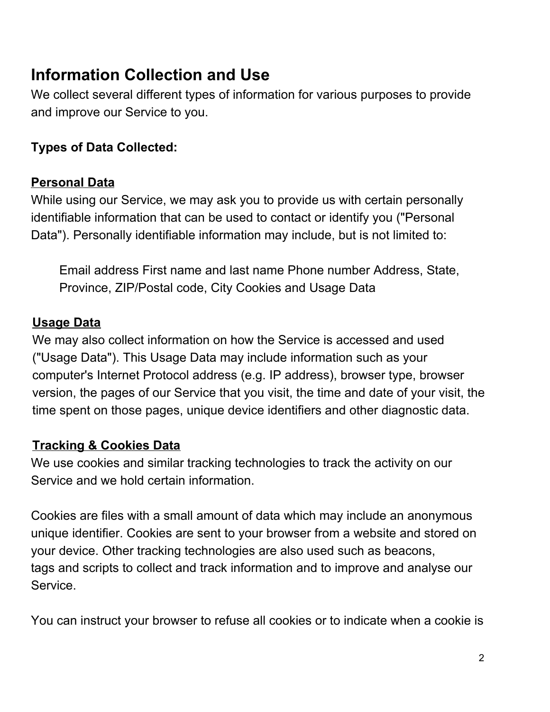## **Information Collection and Use**

We collect several different types of information for various purposes to provide and improve our Service to you.

### **Types of Data Collected:**

#### **Personal Data**

While using our Service, we may ask you to provide us with certain personally identifiable information that can be used to contact or identify you ("Personal Data"). Personally identifiable information may include, but is not limited to:

Email address First name and last name Phone number Address, State, Province, ZIP/Postal code, City Cookies and Usage Data

#### **Usage Data**

We may also collect information on how the Service is accessed and used ("Usage Data"). This Usage Data may include information such as your computer's Internet Protocol address (e.g. IP address), browser type, browser version, the pages of our Service that you visit, the time and date of your visit, the time spent on those pages, unique device identifiers and other diagnostic data.

#### **Tracking & Cookies Data**

We use cookies and similar tracking technologies to track the activity on our Service and we hold certain information.

Cookies are files with a small amount of data which may include an anonymous unique identifier. Cookies are sent to your browser from a website and stored on your device. Other tracking technologies are also used such as beacons, tags and scripts to collect and track information and to improve and analyse our Service.

You can instruct your browser to refuse all cookies or to indicate when a cookie is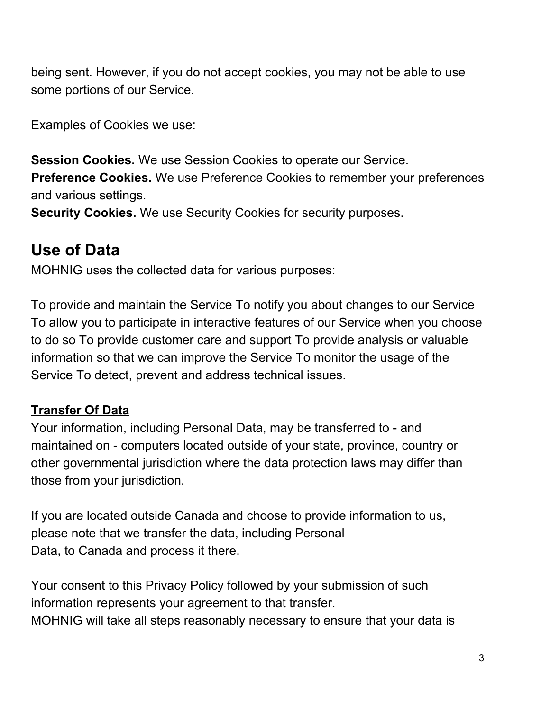being sent. However, if you do not accept cookies, you may not be able to use some portions of our Service.

Examples of Cookies we use:

**Session Cookies.** We use Session Cookies to operate our Service. **Preference Cookies.** We use Preference Cookies to remember your preferences

and various settings.

**Security Cookies.** We use Security Cookies for security purposes.

## **Use of Data**

MOHNIG uses the collected data for various purposes:

To provide and maintain the Service To notify you about changes to our Service To allow you to participate in interactive features of our Service when you choose to do so To provide customer care and support To provide analysis or valuable information so that we can improve the Service To monitor the usage of the Service To detect, prevent and address technical issues.

### **Transfer Of Data**

Your information, including Personal Data, may be transferred to - and maintained on - computers located outside of your state, province, country or other governmental jurisdiction where the data protection laws may differ than those from your jurisdiction.

If you are located outside Canada and choose to provide information to us, please note that we transfer the data, including Personal Data, to Canada and process it there.

Your consent to this Privacy Policy followed by your submission of such information represents your agreement to that transfer. MOHNIG will take all steps reasonably necessary to ensure that your data is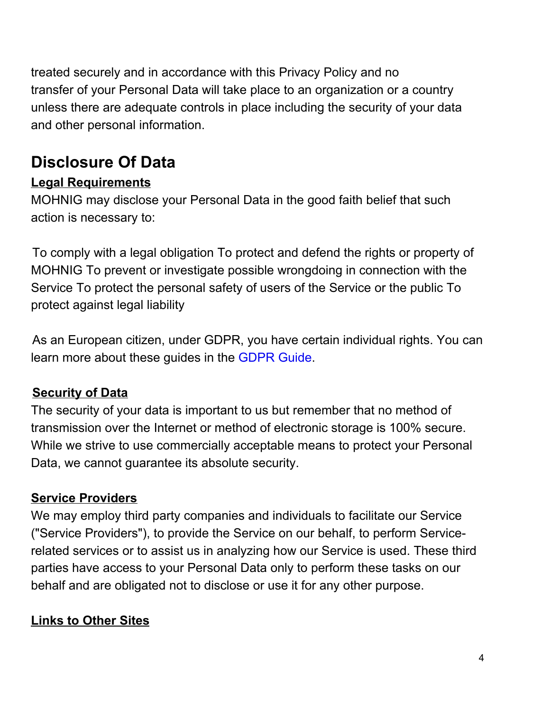treated securely and in accordance with this Privacy Policy and no transfer of your Personal Data will take place to an organization or a country unless there are adequate controls in place including the security of your data and other personal information.

# **Disclosure Of Data**

### **Legal Requirements**

MOHNIG may disclose your Personal Data in the good faith belief that such action is necessary to:

To comply with a legal obligation To protect and defend the rights or property of MOHNIG To prevent or investigate possible wrongdoing in connection with the Service To protect the personal safety of users of the Service or the public To protect against legal liability

As an European citizen, under GDPR, you have certain individual rights. You can learn more about these guides in the GDPR Guide.

### **Security of Data**

The security of your data is important to us but remember that no method of transmission over the Internet or method of electronic storage is 100% secure. While we strive to use commercially acceptable means to protect your Personal Data, we cannot guarantee its absolute security.

### **Service Providers**

We may employ third party companies and individuals to facilitate our Service ("Service Providers"), to provide the Service on our behalf, to perform Servicerelated services or to assist us in analyzing how our Service is used. These third parties have access to your Personal Data only to perform these tasks on our behalf and are obligated not to disclose or use it for any other purpose.

### **Links to Other Sites**